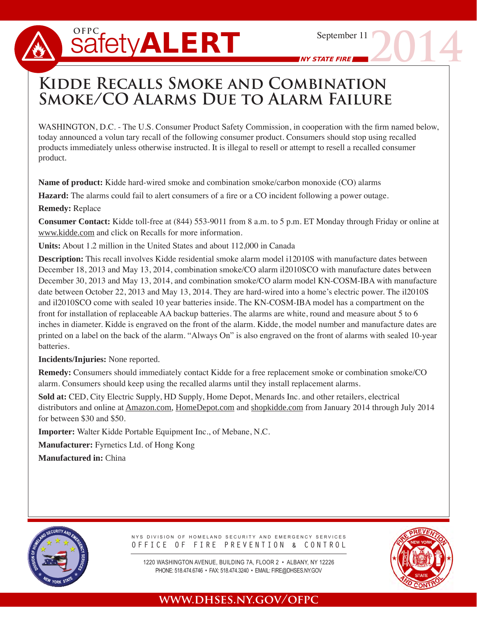# $s$ afety**ALERT**

**2014**

NY STATE FIRE

## **Kidde Recalls Smoke and Combination Smoke/CO Alarms Due to Alarm Failure**

WASHINGTON, D.C. - The U.S. Consumer Product Safety Commission, in cooperation with the firm named below, today announced a volun tary recall of the following consumer product. Consumers should stop using recalled products immediately unless otherwise instructed. It is illegal to resell or attempt to resell a recalled consumer product.

**Name of product:** Kidde hard-wired smoke and combination smoke/carbon monoxide (CO) alarms

**Hazard:** The alarms could fail to alert consumers of a fire or a CO incident following a power outage.

#### **Remedy:** Replace

**Consumer Contact:** Kidde toll-free at (844) 553-9011 from 8 a.m. to 5 p.m. ET Monday through Friday or online at www.kidde.com and click on Recalls for more information.

**Units:** About 1.2 million in the United States and about 112,000 in Canada

**Description:** This recall involves Kidde residential smoke alarm model i12010S with manufacture dates between December 18, 2013 and May 13, 2014, combination smoke/CO alarm il2010SCO with manufacture dates between December 30, 2013 and May 13, 2014, and combination smoke/CO alarm model KN-COSM-IBA with manufacture date between October 22, 2013 and May 13, 2014. They are hard-wired into a home's electric power. The il2010S and il2010SCO come with sealed 10 year batteries inside. The KN-COSM-IBA model has a compartment on the front for installation of replaceable AA backup batteries. The alarms are white, round and measure about 5 to 6 inches in diameter. Kidde is engraved on the front of the alarm. Kidde, the model number and manufacture dates are printed on a label on the back of the alarm. "Always On" is also engraved on the front of alarms with sealed 10-year **batteries** 

#### **Incidents/Injuries:** None reported.

**Remedy:** Consumers should immediately contact Kidde for a free replacement smoke or combination smoke/CO alarm. Consumers should keep using the recalled alarms until they install replacement alarms.

**Sold at:** CED, City Electric Supply, HD Supply, Home Depot, Menards Inc. and other retailers, electrical distributors and online at Amazon.com, HomeDepot.com and shopkidde.com from January 2014 through July 2014 for between \$30 and \$50.

**Importer:** Walter Kidde Portable Equipment Inc., of Mebane, N.C.

**Manufacturer:** Fyrnetics Ltd. of Hong Kong

**Manufactured in:** China



NYS DIVISION OF HOMELAND SECURITY AND EMERGENCY SERVICES OFFICE OF FIRE PREVENTION & CONTROL

PHONE: 518.474.6746 • FAX: 518.474.3240 • EMAIL: FIRE@DHSES.NY.GOV 1220 WASHINGTON AVENUE, BUILDING 7A, FLOOR 2 • ALBANY, NY 12226



### **www.dhses.ny.gov/ofpc**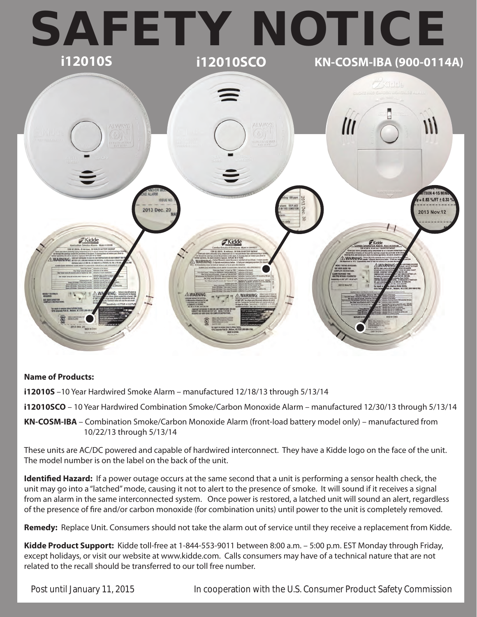

#### **Name of Products:**

**i12010S** –10 Year Hardwired Smoke Alarm – manufactured 12/18/13 through 5/13/14

**i12010SCO** – 10 Year Hardwired Combination Smoke/Carbon Monoxide Alarm – manufactured 12/30/13 through 5/13/14

**KN-COSM-IBA** – Combination Smoke/Carbon Monoxide Alarm (front-load battery model only) – manufactured from 10/22/13 through 5/13/14

These units are AC/DC powered and capable of hardwired interconnect. They have a Kidde logo on the face of the unit. The model number is on the label on the back of the unit.

**Identified Hazard:** If a power outage occurs at the same second that a unit is performing a sensor health check, the unit may go into a "latched" mode, causing it not to alert to the presence of smoke. It will sound if it receives a signal from an alarm in the same interconnected system. Once power is restored, a latched unit will sound an alert, regardless of the presence of fire and/or carbon monoxide (for combination units) until power to the unit is completely removed.

**Remedy:** Replace Unit. Consumers should not take the alarm out of service until they receive a replacement from Kidde.

**Kidde Product Support:** Kidde toll-free at 1-844-553-9011 between 8:00 a.m. – 5:00 p.m. EST Monday through Friday, except holidays, or visit our website at www.kidde.com. Calls consumers may have of a technical nature that are not related to the recall should be transferred to our toll free number.

Post until January 11, 2015 In cooperation with the U.S. Consumer Product Safety Commission